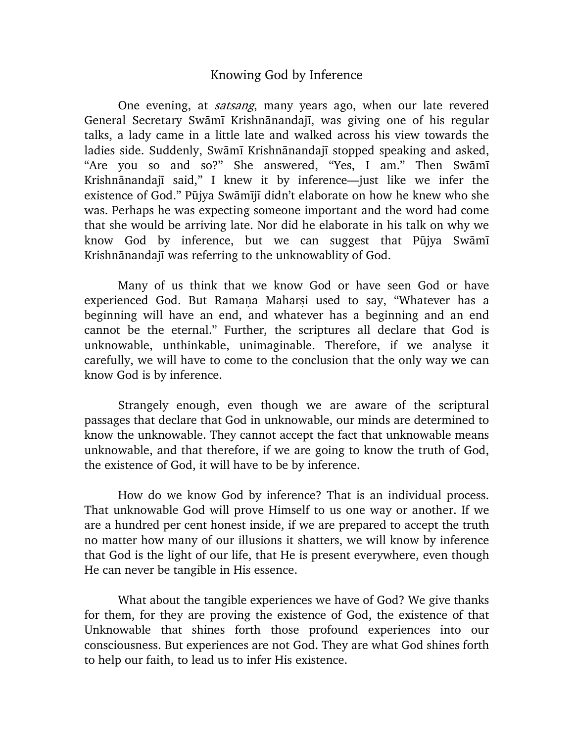## Knowing God by Inference

One evening, at *satsang*, many years ago, when our late revered General Secretary Swāmī Krishnānandajī, was giving one of his regular talks, a lady came in a little late and walked across his view towards the ladies side. Suddenly, Swāmī Krishnānandajī stopped speaking and asked, "Are you so and so?" She answered, "Yes, I am." Then Swami Krishnānandajī said," I knew it by inference—just like we infer the existence of God." Pūjya Swāmījī didn't elaborate on how he knew who she was. Perhaps he was expecting someone important and the word had come that she would be arriving late. Nor did he elaborate in his talk on why we know God by inference, but we can suggest that Pūjya Swāmī Krishnānandajī was referring to the unknowablity of God.

Many of us think that we know God or have seen God or have experienced God. But Ramana Maharsi used to say, "Whatever has a beginning will have an end, and whatever has a beginning and an end cannot be the eternal." Further, the scriptures all declare that God is unknowable, unthinkable, unimaginable. Therefore, if we analyse it carefully, we will have to come to the conclusion that the only way we can know God is by inference.

Strangely enough, even though we are aware of the scriptural passages that declare that God in unknowable, our minds are determined to know the unknowable. They cannot accept the fact that unknowable means unknowable, and that therefore, if we are going to know the truth of God, the existence of God, it will have to be by inference.

How do we know God by inference? That is an individual process. That unknowable God will prove Himself to us one way or another. If we are a hundred per cent honest inside, if we are prepared to accept the truth no matter how many of our illusions it shatters, we will know by inference that God is the light of our life, that He is present everywhere, even though He can never be tangible in His essence.

What about the tangible experiences we have of God? We give thanks for them, for they are proving the existence of God, the existence of that Unknowable that shines forth those profound experiences into our consciousness. But experiences are not God. They are what God shines forth to help our faith, to lead us to infer His existence.